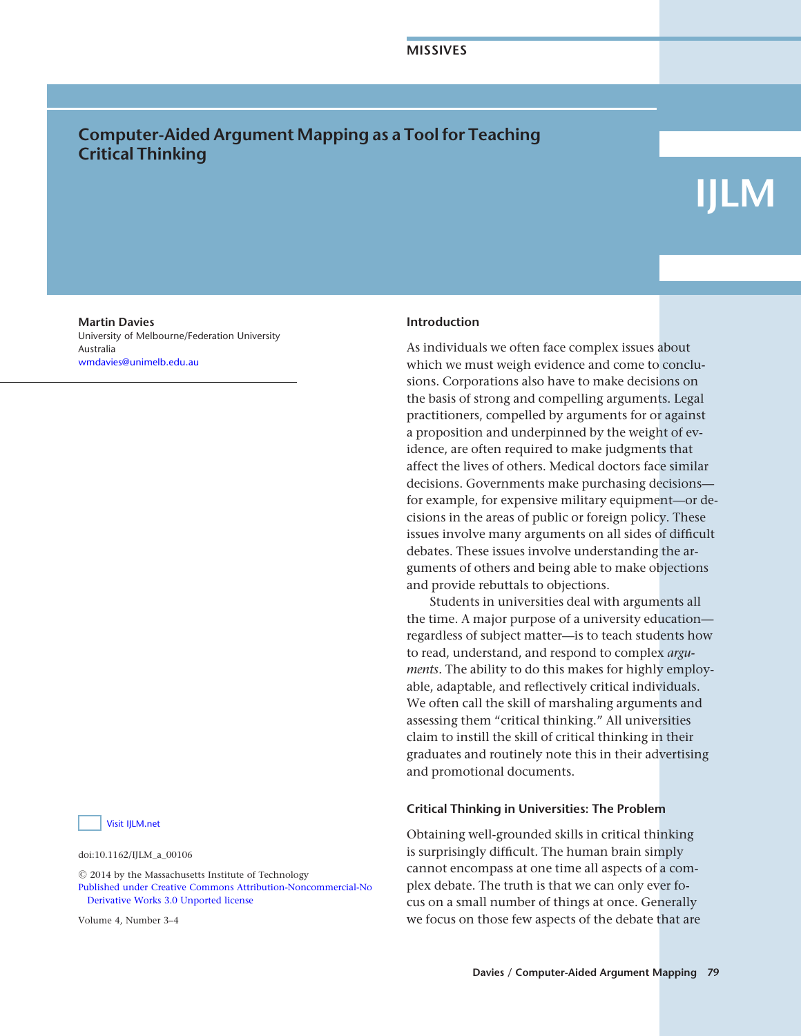## **Computer-Aided Argument Mapping as a Tool for Teaching Critical Thinking**

# **IJLM**

**Martin Davies** University of Melbourne/Federation University Australia [wmdavies@unimelb.edu.au](mailto:wmdavies@unimelb.edu.au)

#### **Introduction**

As individuals we often face complex issues about which we must weigh evidence and come to conclusions. Corporations also have to make decisions on the basis of strong and compelling arguments. Legal practitioners, compelled by arguments for or against a proposition and underpinned by the weight of evidence, are often required to make judgments that affect the lives of others. Medical doctors face similar decisions. Governments make purchasing decisions for example, for expensive military equipment—or decisions in the areas of public or foreign policy. These issues involve many arguments on all sides of difficult debates. These issues involve understanding the arguments of others and being able to make objections and provide rebuttals to objections.

Students in universities deal with arguments all the time. A major purpose of a university education regardless of subject matter—is to teach students how to read, understand, and respond to complex *arguments.* The ability to do this makes for highly employable, adaptable, and reflectively critical individuals. We often call the skill of marshaling arguments and assessing them "critical thinking." All universities claim to instill the skill of critical thinking in their graduates and routinely note this in their advertising and promotional documents.

#### **Critical Thinking in Universities: The Problem**

Obtaining well-grounded skills in critical thinking is surprisingly difficult. The human brain simply cannot encompass at one time all aspects of a complex debate. The truth is that we can only ever focus on a small number of things at once. Generally we focus on those few aspects of the debate that are

#### [Visit IJLM.net](http://ijlm.net/)

doi:10.1162/IJLM\_a\_00106

 $©$  2014 by the Massachusetts Institute of Technology [Published under Creative Commons Attribution-Noncommercial-No](http://creativecommons.org/licenses/by-nc-nd/3.0) [Derivative Works 3.0 Unported license](http://creativecommons.org/licenses/by-nc-nd/3.0)

Volume 4, Number 3–4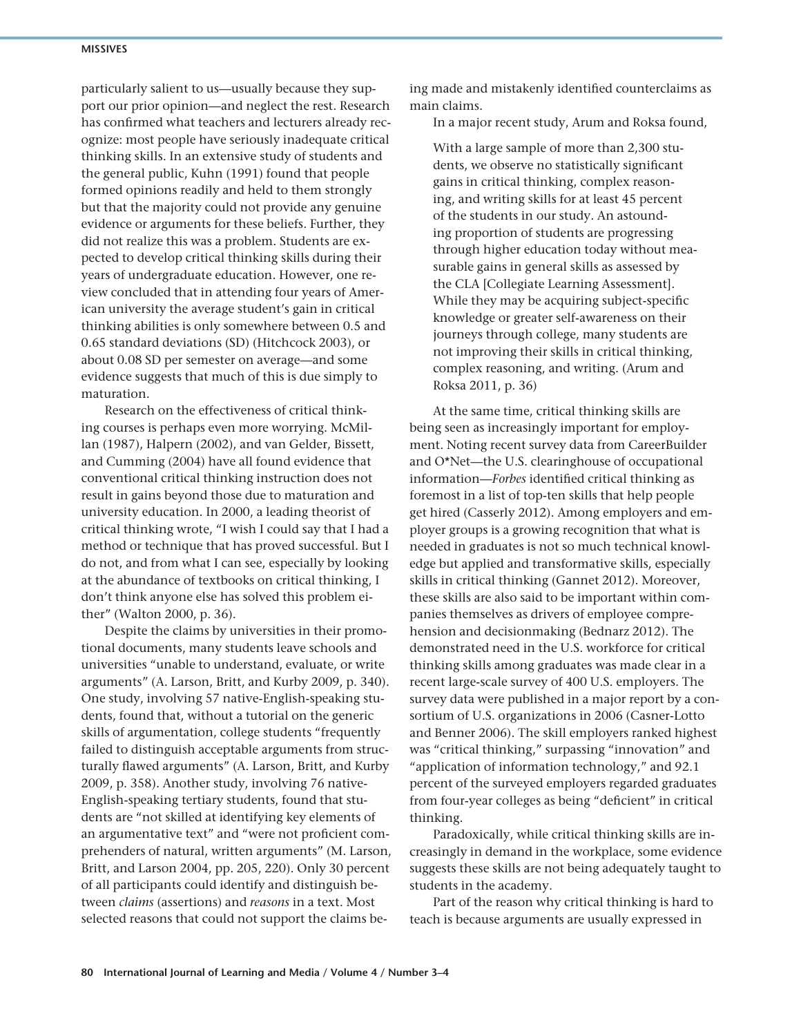particularly salient to us—usually because they support our prior opinion—and neglect the rest. Research has confirmed what teachers and lecturers already recognize: most people have seriously inadequate critical thinking skills. In an extensive study of students and the general public, Kuhn (1991) found that people formed opinions readily and held to them strongly but that the majority could not provide any genuine evidence or arguments for these beliefs. Further, they did not realize this was a problem. Students are expected to develop critical thinking skills during their years of undergraduate education. However, one review concluded that in attending four years of American university the average student's gain in critical thinking abilities is only somewhere between 0.5 and 0.65 standard deviations (SD) (Hitchcock 2003), or about 0.08 SD per semester on average—and some evidence suggests that much of this is due simply to maturation.

Research on the effectiveness of critical thinking courses is perhaps even more worrying. McMillan (1987), Halpern (2002), and van Gelder, Bissett, and Cumming (2004) have all found evidence that conventional critical thinking instruction does not result in gains beyond those due to maturation and university education. In 2000, a leading theorist of critical thinking wrote, "I wish I could say that I had a method or technique that has proved successful. But I do not, and from what I can see, especially by looking at the abundance of textbooks on critical thinking, I don't think anyone else has solved this problem either" (Walton 2000, p. 36).

Despite the claims by universities in their promotional documents, many students leave schools and universities "unable to understand, evaluate, or write arguments" (A. Larson, Britt, and Kurby 2009, p. 340). One study, involving 57 native-English-speaking students, found that, without a tutorial on the generic skills of argumentation, college students "frequently failed to distinguish acceptable arguments from structurally flawed arguments" (A. Larson, Britt, and Kurby 2009, p. 358). Another study, involving 76 native-English-speaking tertiary students, found that students are "not skilled at identifying key elements of an argumentative text" and "were not proficient comprehenders of natural, written arguments" (M. Larson, Britt, and Larson 2004, pp. 205, 220). Only 30 percent of all participants could identify and distinguish between *claims* (assertions) and *reasons* in a text. Most selected reasons that could not support the claims being made and mistakenly identified counterclaims as main claims.

In a major recent study, Arum and Roksa found,

With a large sample of more than 2,300 students, we observe no statistically significant gains in critical thinking, complex reasoning, and writing skills for at least 45 percent of the students in our study. An astounding proportion of students are progressing through higher education today without measurable gains in general skills as assessed by the CLA [Collegiate Learning Assessment]. While they may be acquiring subject-specific knowledge or greater self-awareness on their journeys through college, many students are not improving their skills in critical thinking, complex reasoning, and writing. (Arum and Roksa 2011, p. 36)

At the same time, critical thinking skills are being seen as increasingly important for employment. Noting recent survey data from CareerBuilder and O\*Net—the U.S. clearinghouse of occupational information—*Forbes* identified critical thinking as foremost in a list of top-ten skills that help people get hired (Casserly 2012). Among employers and employer groups is a growing recognition that what is needed in graduates is not so much technical knowledge but applied and transformative skills, especially skills in critical thinking (Gannet 2012). Moreover, these skills are also said to be important within companies themselves as drivers of employee comprehension and decisionmaking (Bednarz 2012). The demonstrated need in the U.S. workforce for critical thinking skills among graduates was made clear in a recent large-scale survey of 400 U.S. employers. The survey data were published in a major report by a consortium of U.S. organizations in 2006 (Casner-Lotto and Benner 2006). The skill employers ranked highest was "critical thinking," surpassing "innovation" and "application of information technology," and 92.1 percent of the surveyed employers regarded graduates from four-year colleges as being "deficient" in critical thinking.

Paradoxically, while critical thinking skills are increasingly in demand in the workplace, some evidence suggests these skills are not being adequately taught to students in the academy.

Part of the reason why critical thinking is hard to teach is because arguments are usually expressed in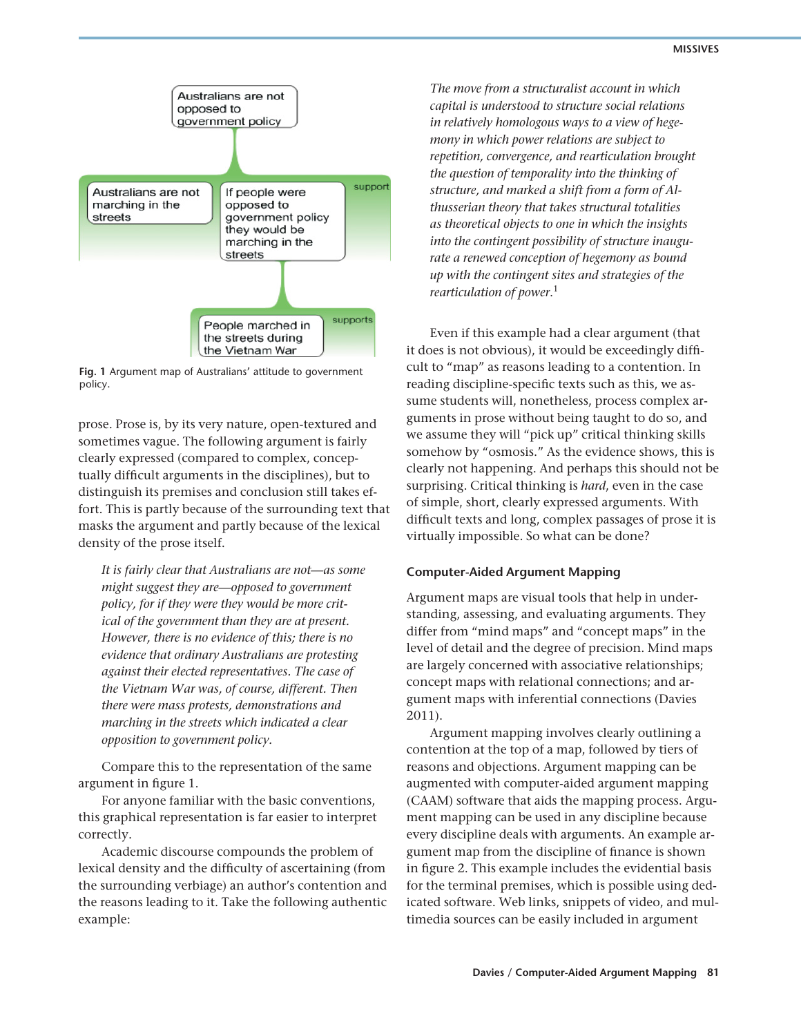

**Fig. 1** Argument map of Australians' attitude to government policy.

prose. Prose is, by its very nature, open-textured and sometimes vague. The following argument is fairly clearly expressed (compared to complex, conceptually difficult arguments in the disciplines), but to distinguish its premises and conclusion still takes effort. This is partly because of the surrounding text that masks the argument and partly because of the lexical density of the prose itself.

*It is fairly clear that Australians are not—as some might suggest they are—opposed to government policy, for if they were they would be more critical of the government than they are at present. However, there is no evidence of this; there is no evidence that ordinary Australians are protesting against their elected representatives. The case of the Vietnam War was, of course, different. Then there were mass protests, demonstrations and marching in the streets which indicated a clear opposition to government policy.*

Compare this to the representation of the same argument in figure 1.

For anyone familiar with the basic conventions, this graphical representation is far easier to interpret correctly.

Academic discourse compounds the problem of lexical density and the difficulty of ascertaining (from the surrounding verbiage) an author's contention and the reasons leading to it. Take the following authentic example:

*The move from a structuralist account in which capital is understood to structure social relations in relatively homologous ways to a view of hegemony in which power relations are subject to repetition, convergence, and rearticulation brought the question of temporality into the thinking of structure, and marked a shift from a form of Althusserian theory that takes structural totalities as theoretical objects to one in which the insights into the contingent possibility of structure inaugurate a renewed conception of hegemony as bound up with the contingent sites and strategies of the rearticulation of power*. 1

Even if this example had a clear argument (that it does is not obvious), it would be exceedingly difficult to "map" as reasons leading to a contention. In reading discipline-specific texts such as this, we assume students will, nonetheless, process complex arguments in prose without being taught to do so, and we assume they will "pick up" critical thinking skills somehow by "osmosis." As the evidence shows, this is clearly not happening. And perhaps this should not be surprising. Critical thinking is *hard*, even in the case of simple, short, clearly expressed arguments. With difficult texts and long, complex passages of prose it is virtually impossible. So what can be done?

#### **Computer-Aided Argument Mapping**

Argument maps are visual tools that help in understanding, assessing, and evaluating arguments. They differ from "mind maps" and "concept maps" in the level of detail and the degree of precision. Mind maps are largely concerned with associative relationships; concept maps with relational connections; and argument maps with inferential connections (Davies 2011).

Argument mapping involves clearly outlining a contention at the top of a map, followed by tiers of reasons and objections. Argument mapping can be augmented with computer-aided argument mapping (CAAM) software that aids the mapping process. Argument mapping can be used in any discipline because every discipline deals with arguments. An example argument map from the discipline of finance is shown in figure 2. This example includes the evidential basis for the terminal premises, which is possible using dedicated software. Web links, snippets of video, and multimedia sources can be easily included in argument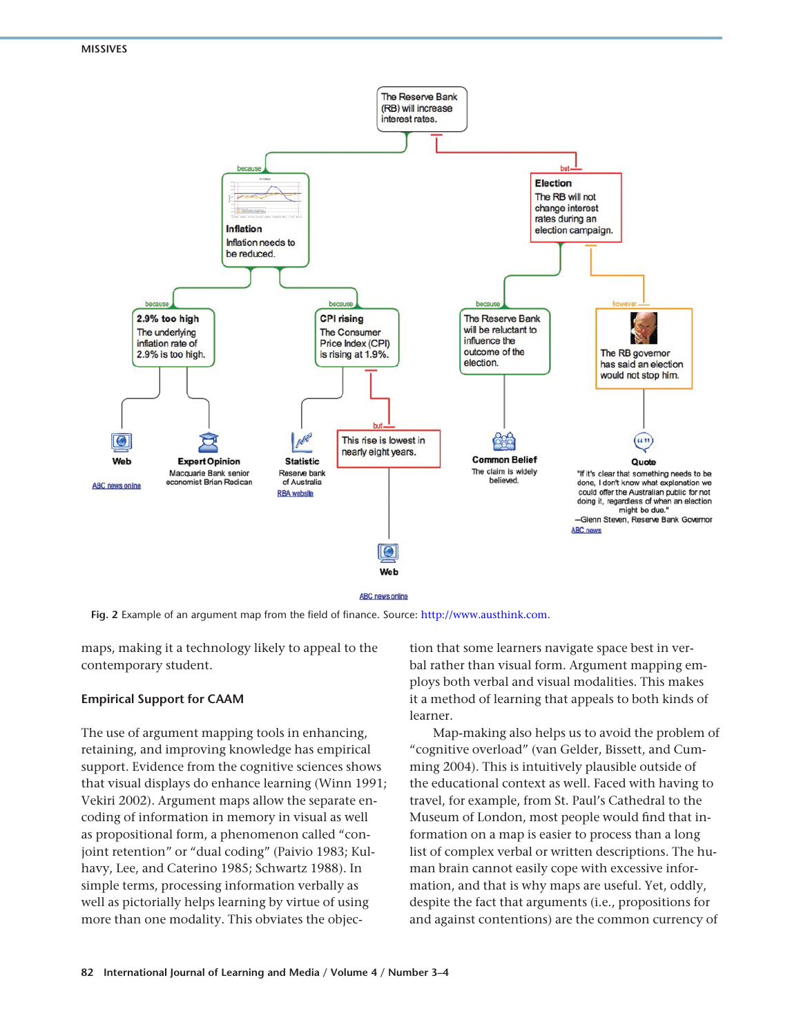

**ABC** news online

**Fig. 2** Example of an argument map from the field of finance. Source: <http://www.austhink.com>.

maps, making it a technology likely to appeal to the contemporary student.

#### **Empirical Support for CAAM**

The use of argument mapping tools in enhancing, retaining, and improving knowledge has empirical support. Evidence from the cognitive sciences shows that visual displays do enhance learning (Winn 1991; Vekiri 2002). Argument maps allow the separate encoding of information in memory in visual as well as propositional form, a phenomenon called "conjoint retention" or "dual coding" (Paivio 1983; Kulhavy, Lee, and Caterino 1985; Schwartz 1988). In simple terms, processing information verbally as well as pictorially helps learning by virtue of using more than one modality. This obviates the objection that some learners navigate space best in verbal rather than visual form. Argument mapping employs both verbal and visual modalities. This makes it a method of learning that appeals to both kinds of learner.

Map-making also helps us to avoid the problem of "cognitive overload" (van Gelder, Bissett, and Cumming 2004). This is intuitively plausible outside of the educational context as well. Faced with having to travel, for example, from St. Paul's Cathedral to the Museum of London, most people would find that information on a map is easier to process than a long list of complex verbal or written descriptions. The human brain cannot easily cope with excessive information, and that is why maps are useful. Yet, oddly, despite the fact that arguments (i.e., propositions for and against contentions) are the common currency of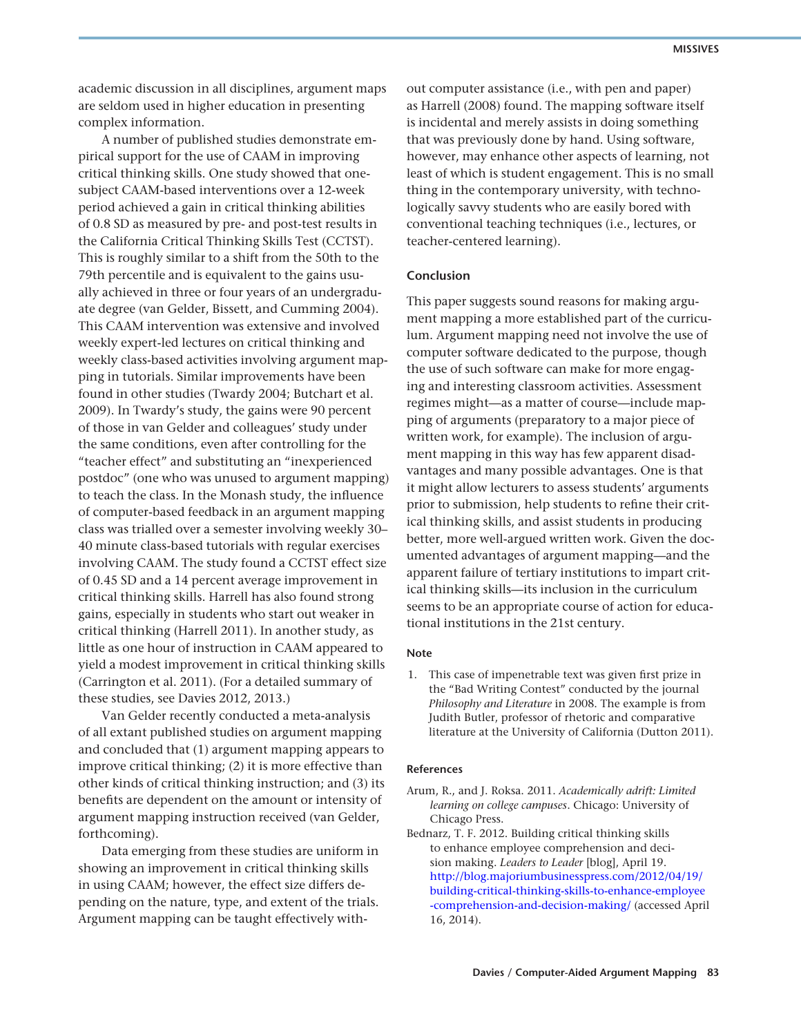academic discussion in all disciplines, argument maps are seldom used in higher education in presenting complex information.

A number of published studies demonstrate empirical support for the use of CAAM in improving critical thinking skills. One study showed that onesubject CAAM-based interventions over a 12-week period achieved a gain in critical thinking abilities of 0.8 SD as measured by pre- and post-test results in the California Critical Thinking Skills Test (CCTST). This is roughly similar to a shift from the 50th to the 79th percentile and is equivalent to the gains usually achieved in three or four years of an undergraduate degree (van Gelder, Bissett, and Cumming 2004). This CAAM intervention was extensive and involved weekly expert-led lectures on critical thinking and weekly class-based activities involving argument mapping in tutorials. Similar improvements have been found in other studies (Twardy 2004; Butchart et al. 2009). In Twardy's study, the gains were 90 percent of those in van Gelder and colleagues' study under the same conditions, even after controlling for the "teacher effect" and substituting an "inexperienced postdoc" (one who was unused to argument mapping) to teach the class. In the Monash study, the influence of computer-based feedback in an argument mapping class was trialled over a semester involving weekly 30– 40 minute class-based tutorials with regular exercises involving CAAM. The study found a CCTST effect size of 0.45 SD and a 14 percent average improvement in critical thinking skills. Harrell has also found strong gains, especially in students who start out weaker in critical thinking (Harrell 2011). In another study, as little as one hour of instruction in CAAM appeared to yield a modest improvement in critical thinking skills (Carrington et al. 2011). (For a detailed summary of these studies, see Davies 2012, 2013.)

Van Gelder recently conducted a meta-analysis of all extant published studies on argument mapping and concluded that (1) argument mapping appears to improve critical thinking; (2) it is more effective than other kinds of critical thinking instruction; and (3) its benefits are dependent on the amount or intensity of argument mapping instruction received (van Gelder, forthcoming).

Data emerging from these studies are uniform in showing an improvement in critical thinking skills in using CAAM; however, the effect size differs depending on the nature, type, and extent of the trials. Argument mapping can be taught effectively without computer assistance (i.e., with pen and paper) as Harrell (2008) found. The mapping software itself is incidental and merely assists in doing something that was previously done by hand. Using software, however, may enhance other aspects of learning, not least of which is student engagement. This is no small thing in the contemporary university, with technologically savvy students who are easily bored with conventional teaching techniques (i.e., lectures, or teacher-centered learning).

#### **Conclusion**

This paper suggests sound reasons for making argument mapping a more established part of the curriculum. Argument mapping need not involve the use of computer software dedicated to the purpose, though the use of such software can make for more engaging and interesting classroom activities. Assessment regimes might—as a matter of course—include mapping of arguments (preparatory to a major piece of written work, for example). The inclusion of argument mapping in this way has few apparent disadvantages and many possible advantages. One is that it might allow lecturers to assess students' arguments prior to submission, help students to refine their critical thinking skills, and assist students in producing better, more well-argued written work. Given the documented advantages of argument mapping—and the apparent failure of tertiary institutions to impart critical thinking skills—its inclusion in the curriculum seems to be an appropriate course of action for educational institutions in the 21st century.

#### **Note**

1. This case of impenetrable text was given first prize in the "Bad Writing Contest" conducted by the journal *Philosophy and Literature* in 2008. The example is from Judith Butler, professor of rhetoric and comparative literature at the University of California (Dutton 2011).

#### **References**

- Arum, R., and J. Roksa. 2011. *Academically adrift: Limited learning on college campuses*. Chicago: University of Chicago Press.
- Bednarz, T. F. 2012. Building critical thinking skills to enhance employee comprehension and decision making. *Leaders to Leader* [blog], April 19. [http://blog.majoriumbusinesspress.com/2012/04/19/](http://blog.majoriumbusinesspress.com/2012/04/19/building-critical-thinking-skills-to-enhance-employee-comprehension-and-decision-making/) [building-critical-thinking-skills-to-enhance-employee](http://blog.majoriumbusinesspress.com/2012/04/19/building-critical-thinking-skills-to-enhance-employee-comprehension-and-decision-making/) [-comprehension-and-decision-making/](http://blog.majoriumbusinesspress.com/2012/04/19/building-critical-thinking-skills-to-enhance-employee-comprehension-and-decision-making/) (accessed April 16, 2014).